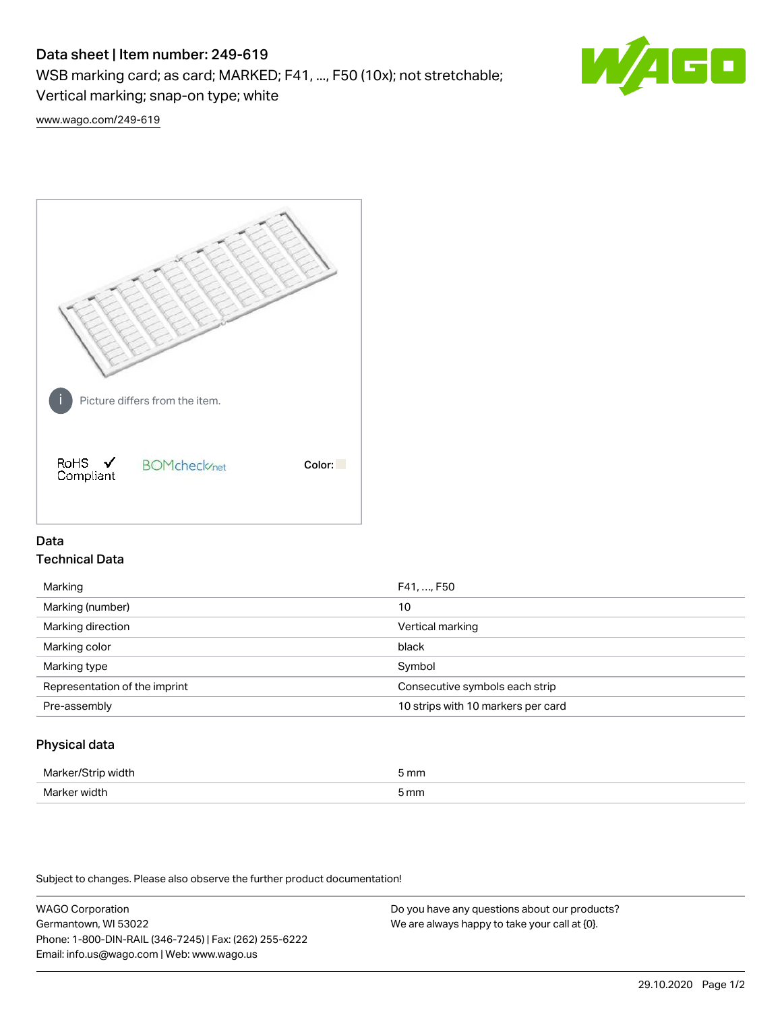# Data sheet | Item number: 249-619

WSB marking card; as card; MARKED; F41, ..., F50 (10x); not stretchable;

Vertical marking; snap-on type; white

60

[www.wago.com/249-619](http://www.wago.com/249-619)



## Data Technical Data

| Marking                       | F41, , F50                         |
|-------------------------------|------------------------------------|
| Marking (number)              | 10                                 |
| Marking direction             | Vertical marking                   |
| Marking color                 | black                              |
| Marking type                  | Symbol                             |
| Representation of the imprint | Consecutive symbols each strip     |
| Pre-assembly                  | 10 strips with 10 markers per card |
|                               |                                    |

## Physical data

| Mar                      | 5 mm |
|--------------------------|------|
| M <sub>cr</sub><br>width | 5 mm |

Subject to changes. Please also observe the further product documentation!

WAGO Corporation Germantown, WI 53022 Phone: 1-800-DIN-RAIL (346-7245) | Fax: (262) 255-6222 Email: info.us@wago.com | Web: www.wago.us Do you have any questions about our products? We are always happy to take your call at {0}.